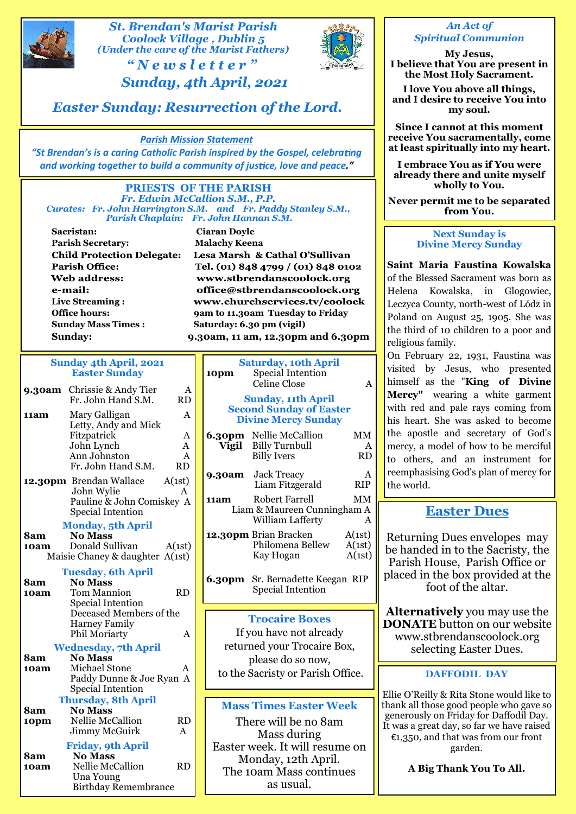

# *St. Brendan's Marist Parish Coolock Village , Dublin 5 (Under the care of the Marist Fathers)* **Example 15 Brendan's Marist Parish<br>
Coolock Village , Dublin 5<br>
"** *N* **e w s l e t t e r "<br>
" Sunday, 4th April, 2021**



#### *An Act of Spiritual Communion*

**My Jesus, I believe that You are present in the Most Holy Sacrament.**

**I love You above all things, and I desire to receive You into my soul.**

**Since I cannot at this moment receive You sacramentally, come at least spiritually into my heart.**

**I embrace You as if You were already there and unite myself wholly to You.**

**Never permit me to be separated from You.**

#### **Next Sunday is Divine Mercy Sunday**

**Saint Maria Faustina Kowalska** of the Blessed Sacrament was born as Helena Kowalska, in Glogowiec, Leczyca County, north-west of Lódz in Poland on August 25, 1905. She was the third of 10 children to a poor and religious family.

**6.30pm** Nellie McCallion MM the apostle and secretary of God's **Vigil** Billy Turnbull  $A \mid \text{mercy, a model of how to be merciful}$ Billy Ivers  $RD \mid to \text{ others}, \text{ and an instrument for}$ On February 22, 1931, Faustina was visited by Jesus, who presented himself as the "**King of Divine Mercy"** wearing a white garment with red and pale rays coming from his heart. She was asked to become reemphasising God's plan of mercy for

### **Easter Dues**

Returning Dues envelopes may be handed in to the Sacristy, the Parish House, Parish Office or placed in the box provided at the foot of the altar.

**Alternatively** you may use the **DONATE** button on our website www.stbrendanscoolock.org selecting Easter Dues.

#### **DAFFODIL DAY**

Ellie O'Reilly & Rita Stone would like to thank all those good people who gave so generously on Friday for Daffodil Day. It was a great day, so far we have raised €1,350, and that was from our front garden.

**A Big Thank You To All.**

*Easter Sunday: Resurrection of the Lord.*

*Sunday, 4th April, 2021*

### *Parish Mission Statement*

"St Brendan's is a caring Catholic Parish inspired by the Gospel, celebrating *and working together to build a community of justice, love and peace."* 

#### **PRIESTS OF THE PARISH** *Fr. Edwin McCallion S.M., P.P. Curates: Fr. John Harrington S.M. and Fr. Paddy Stanley S.M., Parish Chaplain: Fr. John Hannan S.M.*

**Sacristan: Ciaran Doyle Parish Secretary: Malachy Keena Child Protection Delegate: Parish Office:** Web address: e-mail: **Live Streaming : Sunday Mass Times : Saturday: 6.30 pm (vigil)**

Lesa Marsh & Cathal O'Sullivan Tel. (01) 848 4799 / (01) 848 0102 www.stbrendanscoolock.org office@stbrendanscoolock.org www.churchservices.tv/coolock **Office hours: 9am to 11.30am Tuesday to Friday Sunday: 9.30am, 11 am, 12.30pm and 6.30pm**

> **Saturday, 10th April 10pm** Special Intention<br>Celine Close A Celine Close **Sunday, 11th April Second Sunday of Easter**

#### **Sunday 4th April, 2021 Easter Sunday**

|             | <b>9.30am</b> Chrissie & Andy Tier<br>Fr. John Hand S.M.                                                   | Α<br><b>RD</b>                |                                    |
|-------------|------------------------------------------------------------------------------------------------------------|-------------------------------|------------------------------------|
| 11am        | Mary Galligan<br>Letty, Andy and Mick<br>Fitzpatrick<br>John Lynch<br>Ann Johnston<br>Fr. John Hand S.M.   | A<br>Α<br>A<br>A<br><b>RD</b> | Sec<br>D<br>6.30pm<br><b>Vigil</b> |
|             | 12.30pm Brendan Wallace<br>John Wylie<br>Pauline & John Comiskey A<br><b>Special Intention</b>             | A(1st)<br>A                   | 9.30am<br>11am<br>Lia              |
| 8am<br>10am | <b>Monday, 5th April</b><br><b>No Mass</b><br>Donald Sullivan<br>Maisie Chaney & daughter A(1st)           | A(1st)                        | 12.30pn                            |
| 8am<br>10am | <b>Tuesday, 6th April</b><br><b>No Mass</b><br>Tom Mannion<br><b>Special Intention</b>                     | <b>RD</b>                     | 6.30pm                             |
|             | Deceased Members of the<br><b>Harney Family</b><br>Phil Moriarty                                           | A                             | If                                 |
|             | <b>Wednesday, 7th April</b>                                                                                |                               | retu                               |
| 8am<br>10am | <b>No Mass</b><br><b>Michael Stone</b><br>Paddy Dunne & Joe Ryan A<br><b>Special Intention</b>             | Α                             | to the                             |
|             | <b>Thursday, 8th April</b>                                                                                 |                               | <b>Mas</b>                         |
| 8am<br>10pm | <b>No Mass</b><br>Nellie McCallion<br>Jimmy McGuirk                                                        | <b>RD</b><br>A                | T                                  |
| 8am<br>10am | <b>Friday, 9th April</b><br><b>No Mass</b><br>Nellie McCallion<br>Una Young<br><b>Birthday Remembrance</b> | <b>RD</b>                     | Easter<br>N<br>The                 |

| <b>Divine Mercy Sunday</b> | his heart. She                                                                                                                |                            |                                                                     |
|----------------------------|-------------------------------------------------------------------------------------------------------------------------------|----------------------------|---------------------------------------------------------------------|
| Vigil                      | <b>6.30pm</b> Nellie McCallion<br>Billy Turnbull<br><b>Billy Ivers</b>                                                        | MM<br>A<br><b>RD</b>       | the apostle a<br>mercy, a mode<br>to others, ar                     |
|                            | 9.30am Jack Treacy<br>Liam Fitzgerald                                                                                         | A<br>RIP                   | reemphasising<br>the world.                                         |
| <b>11am</b>                | Robert Farrell<br>Liam & Maureen Cunningham A<br>William Lafferty                                                             | <b>MM</b><br>A             | Eas                                                                 |
|                            | <b>12.30pm</b> Brian Bracken<br>Philomena Bellew<br>Kay Hogan<br>6.30pm Sr. Bernadette Keegan RIP<br><b>Special Intention</b> | A(1st)<br>A(1st)<br>A(1st) | Returning D<br>be handed ir<br>Parish Hous<br>placed in the<br>foot |
|                            | <b>Trocaire Boxes</b><br>If you have not already<br>notumed vous Treceire Dov                                                 |                            | <b>Alternative</b><br><b>DONATE</b> bu<br>www.stbre                 |

returned your Trocaire Box, please do so now, to the Sacristy or Parish Office.

### **Mass Times Easter Week**

There will be no 8am Mass during Easter week. It will resume on Monday, 12th April. The 10am Mass continues as usual.